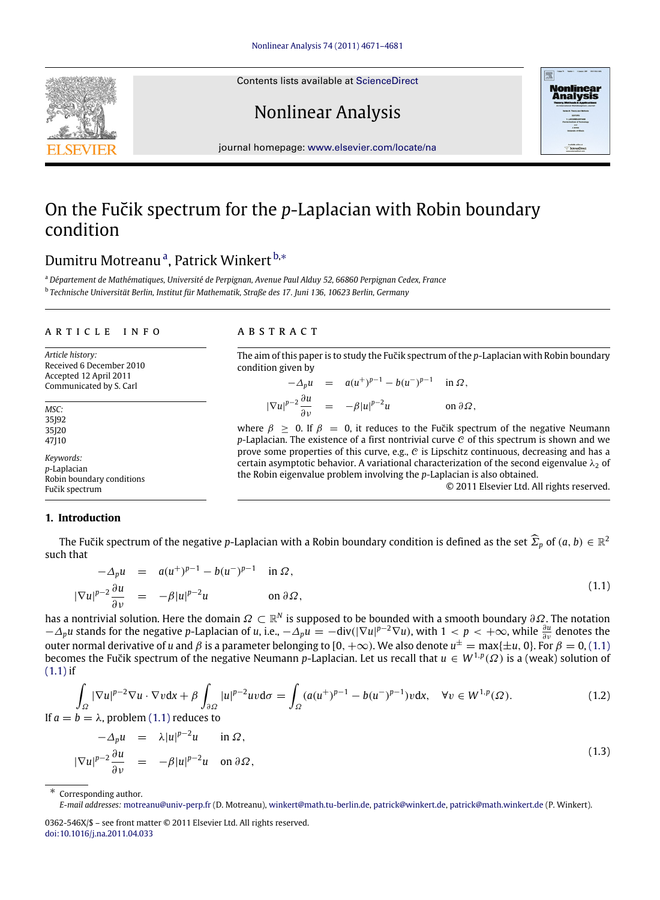Contents lists available at [ScienceDirect](http://www.elsevier.com/locate/na)



# Nonlinear Analysis



journal homepage: [www.elsevier.com/locate/na](http://www.elsevier.com/locate/na)

# On the Fucik spectrum for the *p*-Laplacian with Robin boundary condition

# Dumitru Motre[a](#page-0-0)nu<sup>a</sup>, Patrick Winkert <sup>[b,](#page-0-1)</sup>\*

<span id="page-0-1"></span><span id="page-0-0"></span><sup>a</sup> *Département de Mathématiques, Université de Perpignan, Avenue Paul Alduy 52, 66860 Perpignan Cedex, France* b *Technische Universität Berlin, Institut für Mathematik, Straße des 17. Juni 136, 10623 Berlin, Germany*

#### a r t i c l e i n f o

*Article history:* Received 6 December 2010 Accepted 12 April 2011 Communicated by S. Carl

*MSC:* 35J92 35J20 4710

*Keywords: p*-Laplacian Robin boundary conditions Fučik spectrum

#### <span id="page-0-6"></span>**1. Introduction**

a b s t r a c t

The aim of this paper is to study the Fučik spectrum of the p-Laplacian with Robin boundary condition given by

$$
-\Delta_p u = a(u^+)^{p-1} - b(u^-)^{p-1} \quad \text{in } \Omega,
$$
  

$$
|\nabla u|^{p-2} \frac{\partial u}{\partial v} = -\beta |u|^{p-2} u \quad \text{on } \partial \Omega,
$$

where  $\beta \geq 0$ . If  $\beta = 0$ , it reduces to the Fucik spectrum of the negative Neumann p-Laplacian. The existence of a first nontrivial curve C of this spectrum is shown and we prove some properties of this curve, e.g.,  $C$  is Lipschitz continuous, decreasing and has a certain asymptotic behavior. A variational characterization of the second eigenvalue  $\lambda_2$  of the Robin eigenvalue problem involving the *p*-Laplacian is also obtained.

<span id="page-0-5"></span><span id="page-0-4"></span><span id="page-0-3"></span>© 2011 Elsevier Ltd. All rights reserved.

The Fučik spectrum of the negative *p*-Laplacian with a Robin boundary condition is defined as the set  $\widehat{\Sigma}_p$  of  $(a,b)\in\mathbb{R}^2$ such that

$$
-\Delta_p u = a(u^+)^{p-1} - b(u^-)^{p-1} \quad \text{in } \Omega,
$$
  

$$
|\nabla u|^{p-2} \frac{\partial u}{\partial \nu} = -\beta |u|^{p-2} u \qquad \text{on } \partial \Omega,
$$
 (1.1)

has a nontrivial solution. Here the domain  $\Omega\subset\mathbb R^N$  is supposed to be bounded with a smooth boundary  $\partial\Omega.$  The notation  $-\Delta_p u$  stands for the negative *p*-Laplacian of *u*, i.e.,  $-\Delta_p u = -\text{div}(|\nabla u|^{p-2}\nabla u)$ , with  $1 < p < +\infty$ , while  $\frac{\partial u}{\partial v}$  denotes the outer normal derivative of *u* and  $\beta$  is a parameter belonging to [0,  $+\infty$ ). We also denote  $u^\pm = \max\{\pm u,0\}$ . For  $\beta=0,(1.1)$  $\beta=0,(1.1)$ becomes the Fučik spectrum of the negative Neumann p-Laplacian. Let us recall that  $u \in W^{1,p}(\Omega)$  is a (weak) solution of [\(1.1\)](#page-0-3) if

$$
\int_{\Omega} |\nabla u|^{p-2} \nabla u \cdot \nabla v dx + \beta \int_{\partial \Omega} |u|^{p-2} u v d\sigma = \int_{\Omega} (a(u^+)^{p-1} - b(u^-)^{p-1}) v dx, \quad \forall v \in W^{1,p}(\Omega). \tag{1.2}
$$
\n
$$
\text{If } a = b = \lambda \text{, problem (1.1) reduces to}
$$

$$
-\Delta_p u = \lambda |u|^{p-2} u \quad \text{in } \Omega,
$$
  

$$
|\nabla u|^{p-2} \frac{\partial u}{\partial \nu} = -\beta |u|^{p-2} u \quad \text{on } \partial \Omega,
$$
 (1.3)

<span id="page-0-2"></span>∗ Corresponding author.

*E-mail addresses:* [motreanu@univ-perp.fr](mailto:motreanu@univ-perp.fr) (D. Motreanu), [winkert@math.tu-berlin.de,](mailto:winkert@math.tu-berlin.de) [patrick@winkert.de,](mailto:patrick@winkert.de) [patrick@math.winkert.de](mailto:patrick@math.winkert.de) (P. Winkert).

<sup>0362-546</sup>X/\$ – see front matter © 2011 Elsevier Ltd. All rights reserved. [doi:10.1016/j.na.2011.04.033](http://dx.doi.org/10.1016/j.na.2011.04.033)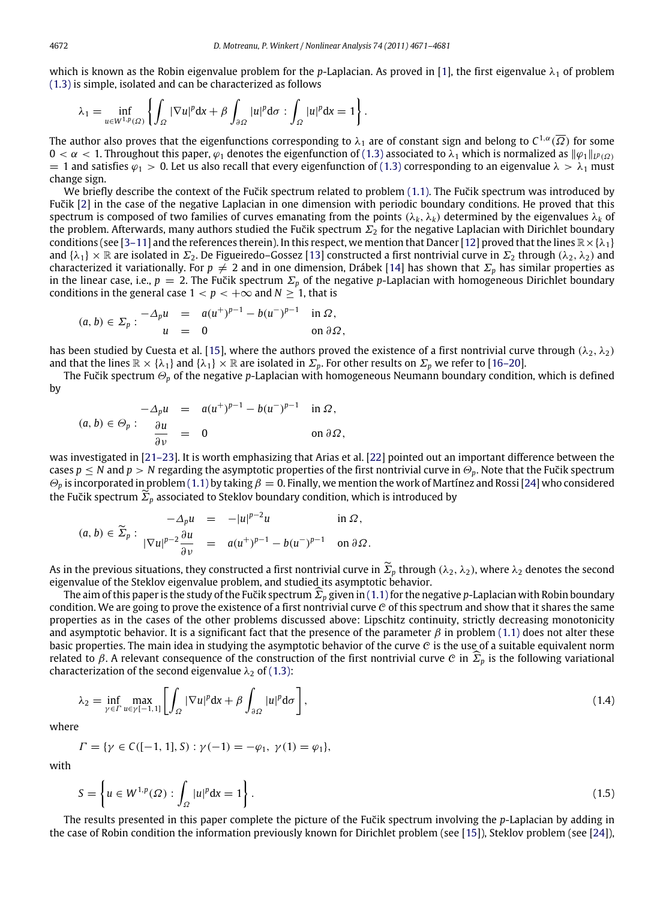which is known as the Robin eigenvalue problem for the *p*-Laplacian. As proved in [\[1\]](#page-10-0), the first eigenvalue λ<sub>1</sub> of problem [\(1.3\)](#page-0-4) is simple, isolated and can be characterized as follows

$$
\lambda_1=\inf_{u\in W^{1,p}(\Omega)}\left\{\int_{\Omega}|\nabla u|^p\mathrm{d} x+\beta\int_{\partial\Omega}|u|^p\mathrm{d}\sigma:\int_{\Omega}|u|^p\mathrm{d} x=1\right\}.
$$

The author also proves that the eigenfunctions corresponding to  $\lambda_1$  are of constant sign and belong to  $C^{1,\alpha}(\overline\Omega)$  for some  $0<\alpha< 1$ . Throughout this paper,  $\varphi_1$  denotes the eigenfunction of [\(1.3\)](#page-0-4) associated to  $\lambda_1$  which is normalized as  $\|\varphi_1\|_{L^p(\Omega)}$ = 1 and satisfies  $\varphi_1 > 0$ . Let us also recall that every eigenfunction of [\(1.3\)](#page-0-4) corresponding to an eigenvalue  $\lambda > \lambda_1$  must change sign.

We briefly describe the context of the Fučik spectrum related to problem  $(1.1)$ . The Fučik spectrum was introduced by Fucik [[2\]](#page-10-1) in the case of the negative Laplacian in one dimension with periodic boundary conditions. He proved that this spectrum is composed of two families of curves emanating from the points ( $\lambda_k$ ,  $\lambda_k$ ) determined by the eigenvalues  $\lambda_k$  of the problem. Afterwards, many authors studied the Fučik spectrum  $\Sigma_2$  for the negative Laplacian with Dirichlet boundary conditions (see [\[3–11\]](#page-10-2) and the references therein). In this respect, we mention that Dancer [\[12\]](#page-10-3) proved that the lines  $\mathbb{R}\times\{\lambda_1\}$ and  $\{\lambda_1\}\times\mathbb{R}$  are isolated in  $\Sigma_2$ . De Figueiredo–Gossez [\[13\]](#page-10-4) constructed a first nontrivial curve in  $\Sigma_2$  through  $(\lambda_2, \lambda_2)$  and characterized it variationally. For  $p \neq 2$  and in one dimension, Drábek [\[14\]](#page-10-5) has shown that  $\Sigma_p$  has similar properties as in the linear case, i.e.,  $p = 2$ . The Fucik spectrum  $\Sigma_p$  of the negative p-Laplacian with homogeneous Dirichlet boundary conditions in the general case  $1 < p < +\infty$  and  $N \ge 1$ , that is

$$
(a, b) \in \Sigma_p: \begin{array}{rcl} -\Delta_p u & = & a(u^+)^{p-1} - b(u^-)^{p-1} & \text{in } \Omega, \\ u & = & 0 & \text{on } \partial \Omega, \end{array}
$$

has been studied by Cuesta et al. [\[15\]](#page-10-6), where the authors proved the existence of a first nontrivial curve through ( $\lambda_2$ ,  $\lambda_2$ ) and that the lines  $\mathbb{R} \times \{\lambda_1\}$  and  $\{\lambda_1\} \times \mathbb{R}$  are isolated in  $\Sigma_p$ . For other results on  $\Sigma_p$  we refer to [\[16–20\]](#page-10-7).

The Fucik spectrum  $\Theta_p$  of the negative *p*-Laplacian with homogeneous Neumann boundary condition, which is defined by

$$
(a, b) \in \Theta_p: \begin{aligned}\n-\Delta_p u &= a(u^+)^{p-1} - b(u^-)^{p-1} & \text{in } \Omega, \\
\frac{\partial u}{\partial v} &= 0 & \text{on } \partial \Omega,\n\end{aligned}
$$

was investigated in [\[21–23\]](#page-10-8). It is worth emphasizing that Arias et al. [\[22\]](#page-10-9) pointed out an important difference between the cases  $p \le N$  and  $p > N$  regarding the asymptotic properties of the first nontrivial curve in  $\Theta_p$ . Note that the Fucik spectrum  $\Theta_p$  is incorporated in problem [\(1.1\)](#page-0-3) by taking  $\beta=0$ . Finally, we mention the work of Martínez and Rossi [\[24\]](#page-10-10) who considered the Fucik spectrum  $\Sigma_p$  associated to Steklov boundary condition, which is introduced by

$$
(a, b) \in \widetilde{\Sigma}_p : \frac{-\Delta_p u}{|\nabla u|^{p-2} \frac{\partial u}{\partial v}} = -|u|^{p-2} u \quad \text{in } \Omega,
$$
  

$$
(a, b) \in \widetilde{\Sigma}_p : \frac{-\Delta_p u}{|\nabla u|^{p-2} \frac{\partial u}{\partial v}} = a(u^+)^{p-1} - b(u^-)^{p-1} \quad \text{on } \partial \Omega.
$$

As in the previous situations, they constructed a first nontrivial curve in  $\widetilde{\Sigma}_p$  through ( $\lambda_2$ ,  $\lambda_2$ ), where  $\lambda_2$  denotes the second eigenvalue of the Steklov eigenvalue problem, and studied its asymptotic behavior.

The aim of this paper is the study of the Fučik spectrum  $\widehat{\Sigma}_p$  given in [\(1.1\)](#page-0-3) for the negative p-Laplacian with Robin boundary condition. We are going to prove the existence of a first nontrivial curve  $C$  of this spectrum and show that it shares the same properties as in the cases of the other problems discussed above: Lipschitz continuity, strictly decreasing monotonicity and asymptotic behavior. It is a significant fact that the presence of the parameter  $\beta$  in problem [\(1.1\)](#page-0-3) does not alter these basic properties. The main idea in studying the asymptotic behavior of the curve  $C$  is the use of a suitable equivalent norm related to *β*. A relevant consequence of the construction of the first nontrivial curve *C* in  $\widehat{\Sigma}_p$  is the following variational characterization of the second eigenvalue  $\lambda_2$  of [\(1.3\):](#page-0-4)

<span id="page-1-1"></span>
$$
\lambda_2 = \inf_{\gamma \in \Gamma} \max_{u \in \gamma[-1,1]} \left[ \int_{\Omega} |\nabla u|^p \, dx + \beta \int_{\partial \Omega} |u|^p \, d\sigma \right],\tag{1.4}
$$

where

 $\Gamma = {\gamma \in C([-1, 1], S) : \gamma(-1) = -\varphi_1, \gamma(1) = \varphi_1},$ 

with

<span id="page-1-0"></span>
$$
S = \left\{ u \in W^{1,p}(\Omega) : \int_{\Omega} |u|^p dx = 1 \right\}.
$$
\n(1.5)

The results presented in this paper complete the picture of the Fučik spectrum involving the *p*-Laplacian by adding in the case of Robin condition the information previously known for Dirichlet problem (see [\[15\]](#page-10-6)), Steklov problem (see [\[24\]](#page-10-10)),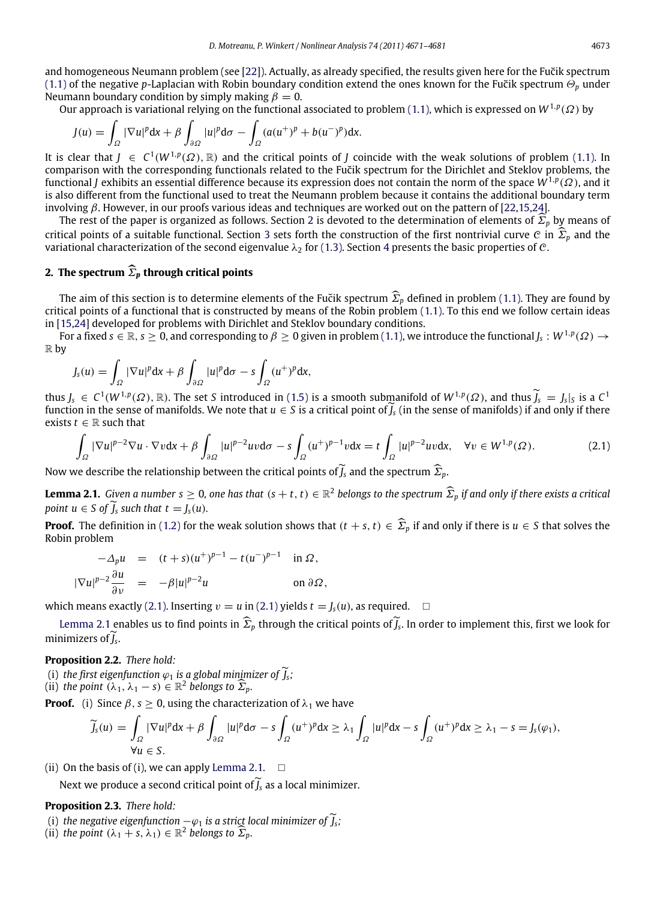and homogeneous Neumann problem (see [\[22\]](#page-10-9)). Actually, as already specified, the results given here for the Fucik spectrum ˘ [\(1.1\)](#page-0-3) of the negative *p*-Laplacian with Robin boundary condition extend the ones known for the Fučik spectrum  $\Theta_p$  under Neumann boundary condition by simply making  $\beta = 0$ .

Our approach is variational relying on the functional associated to problem [\(1.1\),](#page-0-3) which is expressed on  $W^{1,p}(\varOmega)$  by

$$
J(u) = \int_{\Omega} |\nabla u|^p dx + \beta \int_{\partial \Omega} |u|^p d\sigma - \int_{\Omega} (a(u^+)^p + b(u^-)^p) dx.
$$

It is clear that  $J \in C^1(W^{1,p}(\Omega), \mathbb{R})$  and the critical points of *J* coincide with the weak solutions of problem [\(1.1\).](#page-0-3) In comparison with the corresponding functionals related to the Fučik spectrum for the Dirichlet and Steklov problems, the functional *J* exhibits an essential difference because its expression does not contain the norm of the space *W*<sup>1</sup>,*<sup>p</sup>* (Ω), and it is also different from the functional used to treat the Neumann problem because it contains the additional boundary term involving  $\beta$ . However, in our proofs various ideas and techniques are worked out on the pattern of [\[22,](#page-10-9)[15](#page-10-6)[,24\]](#page-10-10).

The rest of the paper is organized as follows. Section [2](#page-2-0) is devoted to the determination of elements of  $\widehat{\Sigma}_p$  by means of critical points of a suitable functional. Section [3](#page-4-0) sets forth the construction of the first nontrivial curve C in  $\hat{\Sigma}_p$  and the variational characterization of the second eigenvalue  $\lambda_2$  for [\(1.3\).](#page-0-4) Section [4](#page-7-0) presents the basic properties of C.

## <span id="page-2-0"></span>**2.** The spectrum  $\widehat{\Sigma}_p$  through critical points

The aim of this section is to determine elements of the Fučik spectrum  $\widehat{\Sigma}_p$  defined in problem [\(1.1\).](#page-0-3) They are found by critical points of a functional that is constructed by means of the Robin problem [\(1.1\).](#page-0-3) To this end we follow certain ideas in [\[15](#page-10-6)[,24\]](#page-10-10) developed for problems with Dirichlet and Steklov boundary conditions.

For a fixed  $s\in\R$  ,  $s\ge0$  , and corresponding to  $\beta\ge0$  given in problem [\(1.1\),](#page-0-3) we introduce the functional  $J_s:W^{1,p}(\varOmega)\to0$  $\mathbb R$  by

$$
J_s(u) = \int_{\Omega} |\nabla u|^p dx + \beta \int_{\partial \Omega} |u|^p d\sigma - s \int_{\Omega} (u^+)^p dx,
$$

thus  $J_s \in C^1(W^{1,p}(\Omega), \mathbb{R})$ . The set *S* introduced in [\(1.5\)](#page-1-0) is a smooth submanifold of  $W^{1,p}(\Omega)$ , and thus  $J_s = J_s |_S$  is a  $C^1$ function in the sense of manifolds. We note that  $u \in S$  is a critical point of  $\tilde{J}_s$  (in the sense of manifolds) if and only if there exists  $t \in \mathbb{R}$  such that

<span id="page-2-2"></span><span id="page-2-1"></span>
$$
\int_{\Omega} |\nabla u|^{p-2} \nabla u \cdot \nabla v dx + \beta \int_{\partial \Omega} |u|^{p-2} uv d\sigma - s \int_{\Omega} (u^+)^{p-1} v dx = t \int_{\Omega} |u|^{p-2} uv dx, \quad \forall v \in W^{1,p}(\Omega). \tag{2.1}
$$

Now we describe the relationship between the critical points of*J<sup>s</sup>* and the spectrum <sup>Σ</sup>*<sup>p</sup>*.

**Lemma 2.1.** *Given a number s*  $\geq$  0, one has that (*s* + *t*, *t*)  $\in \mathbb{R}^2$  belongs to the spectrum  $\widehat{\Sigma}_p$  if and only if there exists a critical *point*  $u \in S$  *of*  $\overline{I_s}$  *such that*  $t = I_s(u)$ *.* 

**Proof.** The definition in [\(1.2\)](#page-0-5) for the weak solution shows that  $(t + s, t) \in \widehat{\Sigma}_p$  if and only if there is  $u \in S$  that solves the Robin problem

$$
-\Delta_p u = (t+s)(u^+)^{p-1} - t(u^-)^{p-1} \text{ in } \Omega,
$$
  

$$
\nabla u|^{p-2} \frac{\partial u}{\partial v} = -\beta |u|^{p-2} u \text{ on } \partial \Omega,
$$

which means exactly [\(2.1\).](#page-2-1) Inserting  $v = u$  in [\(2.1\)](#page-2-1) yields  $t = J_s(u)$ , as required.  $\square$ 

[Lemma 2.1](#page-2-2) enables us to find points in <sup>Σ</sup>*<sup>p</sup>* through the critical points of*J<sup>s</sup>* . In order to implement this, first we look for minimizers of*J<sup>s</sup>* .

#### **Proposition 2.2.** *There hold:*

|∇*u*|

- (i) the first eigenfunction  $\varphi_1$  is a global minimizer of *J<sub>s</sub>*;<br>ii) the noint  $\left(\frac{1}{2}, \frac{1}{2}\right) \in \mathbb{R}^2$  belongs to  $\widehat{\Sigma}$
- (ii) *the point*  $(\lambda_1, \lambda_1 s) \in \mathbb{R}^2$  *belongs to*  $\widehat{\Sigma}_p$ *.*

**Proof.** (i) Since  $\beta$ ,  $s \ge 0$ , using the characterization of  $\lambda_1$  we have

<span id="page-2-3"></span>
$$
\widetilde{J}_s(u) = \int_{\Omega} |\nabla u|^p dx + \beta \int_{\partial \Omega} |u|^p d\sigma - s \int_{\Omega} (u^+)^p dx \geq \lambda_1 \int_{\Omega} |u|^p dx - s \int_{\Omega} (u^+)^p dx \geq \lambda_1 - s = J_s(\varphi_1),
$$
  
\n
$$
\forall u \in S.
$$

(ii) On the basis of (i), we can apply [Lemma 2.1.](#page-2-2)  $\Box$ 

<span id="page-2-4"></span>Next we produce a second critical point of  $\widetilde{J}_s$  as a local minimizer.

### **Proposition 2.3.** *There hold:*

- (i) *the negative eigenfunction*  $-\varphi_1$  *is a strict local minimizer of*  $\widetilde{J}_s$ ; (ii) *the point*  $(\lambda_1 + s, \lambda_1) \in \mathbb{R}^2$  *belongs to*  $\widehat{\Sigma}_p$ *.*
-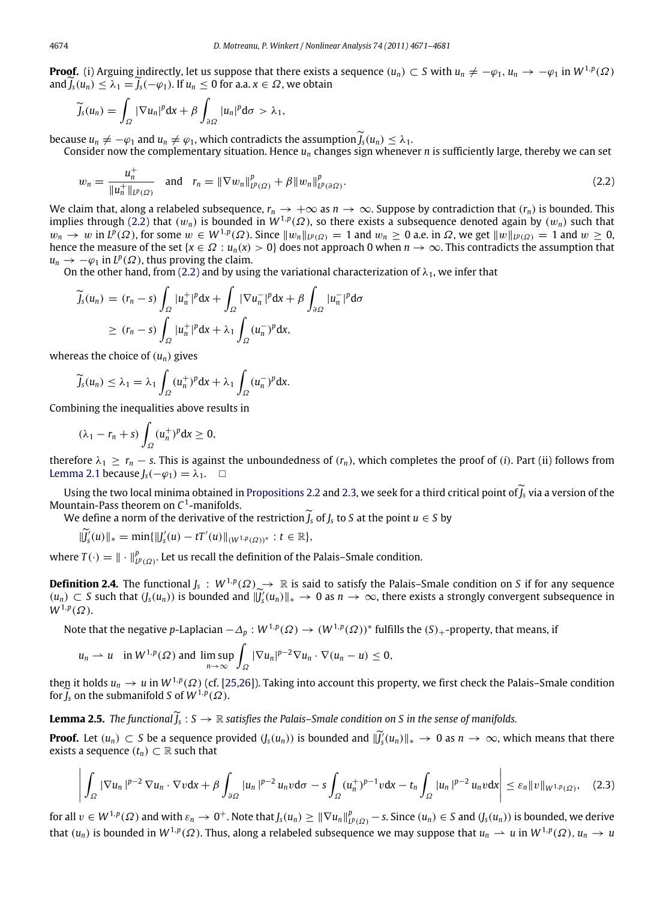**Proof.** (i) Arguing indirectly, let us suppose that there exists a sequence  $(u_n)\subset S$  with  $u_n\neq -\varphi_1, u_n\to -\varphi_1$  in  $W^{1,p}(\varOmega)$ and  $J_s(u_n) \leq \lambda_1 = J_s(-\varphi_1)$ . If  $u_n \leq 0$  for a.a.  $x \in \Omega$ , we obtain

$$
\widetilde{J}_s(u_n)=\int_{\Omega}|\nabla u_n|^p\mathrm{d} x+\beta\int_{\partial\Omega}|u_n|^p\mathrm{d}\sigma>\lambda_1,
$$

because  $u_n \neq -\varphi_1$  and  $u_n \neq \varphi_1$ , which contradicts the assumption  $\widetilde{J}_s(u_n) \leq \lambda_1$ .

Consider now the complementary situation. Hence *u<sup>n</sup>* changes sign whenever *n* is sufficiently large, thereby we can set

<span id="page-3-0"></span>
$$
w_n = \frac{u_n^+}{\|u_n^+\|_{L^p(\Omega)}} \quad \text{and} \quad r_n = \|\nabla w_n\|_{L^p(\Omega)}^p + \beta \|w_n\|_{L^p(\partial\Omega)}^p. \tag{2.2}
$$

We claim that, along a relabeled subsequence,  $r_n \to +\infty$  as  $n \to \infty$ . Suppose by contradiction that  $(r_n)$  is bounded. This implies through [\(2.2\)](#page-3-0) that  $(w_n)$  is bounded in  $W^{1,p}(\Omega)$ , so there exists a subsequence denoted again by  $(w_n)$  such that  $w_n$  → *w* in *L*<sup>*p*</sup>(Ω), for some  $w \in W^{1,p}(\Omega)$ . Since  $||w_n||_{L^p(\Omega)} = 1$  and  $w_n ≥ 0$  a.e. in Ω, we get  $||w||_{L^p(\Omega)} = 1$  and  $w ≥ 0$ , hence the measure of the set { $x \in \Omega : u_n(x) > 0$ } does not approach 0 when  $n \to \infty$ . This contradicts the assumption that  $u_n \to -\varphi_1$  in  $L^p(\Omega)$ , thus proving the claim.

On the other hand, from [\(2.2\)](#page-3-0) and by using the variational characterization of  $\lambda_1$ , we infer that

$$
\widetilde{J}_s(u_n) = (r_n - s) \int_{\Omega} |u_n^+|^p dx + \int_{\Omega} |\nabla u_n^-|^p dx + \beta \int_{\partial \Omega} |u_n^-|^p d\sigma
$$
\n
$$
\ge (r_n - s) \int_{\Omega} |u_n^+|^p dx + \lambda_1 \int_{\Omega} (u_n^-)^p dx,
$$

whereas the choice of  $(u_n)$  gives

$$
\widetilde{J}_s(u_n) \leq \lambda_1 = \lambda_1 \int_{\Omega} (u_n^+)^p dx + \lambda_1 \int_{\Omega} (u_n^-)^p dx.
$$

Combining the inequalities above results in

$$
(\lambda_1-r_n+s)\int_{\Omega}(u_n^+)^p\mathrm{d} x\geq 0,
$$

therefore  $\lambda_1 \ge r_n - s$ . This is against the unboundedness of  $(r_n)$ , which completes the proof of (*i*). Part (ii) follows from [Lemma 2.1](#page-2-2) because  $J_s(-\varphi_1) = \lambda_1$ .  $\Box$ 

Using the two local minima obtained in [Propositions 2.2](#page-2-3) and [2.3,](#page-2-4) we seek for a third critical point of*J<sup>s</sup>* via a version of the Mountain-Pass theorem on *C* 1 -manifolds.

We define a norm of the derivative of the restriction  $\widetilde{J}_s$  of  $J_s$  to  $S$  at the point  $u \in S$  by

$$
\|\widetilde{J}'_s(u)\|_* = \min\{\|J'_s(u) - tT'(u)\|_{(W^{1,p}(\Omega))^*}: t \in \mathbb{R}\},\
$$

where  $T(\cdot) = \|\cdot\|_{L^p(\Omega)}^p$ . Let us recall the definition of the Palais–Smale condition.

**Definition 2.4.** The functional  $J_s:W^{1,p}(\Omega)\to\mathbb{R}$  is said to satisfy the Palais–Smale condition on S if for any sequence  $(u_n)$  ⊂ *S* such that  $(J_s(u_n))$  is bounded and  $\|\widetilde{J'_s}(u_n)\|_* \to 0$  as  $n \to \infty$ , there exists a strongly convergent subsequence in  $W^{1,p}(\Omega)$ .

Note that the negative *p*-Laplacian  $-\varDelta_p:W^{1,p}(\varOmega)\to (W^{1,p}(\varOmega))^*$  fulfills the  $(\mathsf{S})_+$ -property, that means, if

$$
u_n \rightharpoonup u \quad \text{in } W^{1,p}(\Omega) \text{ and } \limsup_{n \to \infty} \int_{\Omega} |\nabla u_n|^{p-2} \nabla u_n \cdot \nabla (u_n - u) \leq 0,
$$

then it holds  $u_n \to u$  in  $W^{1,p}(\Omega)$  (cf. [\[25](#page-10-11)[,26\]](#page-10-12)). Taking into account this property, we first check the Palais–Smale condition for  $\tilde{J}_s$  on the submanifold *S* of  $W^{1,p}(\Omega)$ .

<span id="page-3-2"></span>**Lemma 2.5.** *The functional*  $\tilde{j_s}: S \to \mathbb{R}$  *satisfies the Palais–Smale condition on S in the sense of manifolds.* 

**Proof.** Let  $(u_n)$  ⊂ *S* be a sequence provided  $(J_s(u_n))$  is bounded and  $\|\widetilde{J_s}(u_n)\|_* \to 0$  as  $n \to \infty$ , which means that there exists a sequence  $(t_n) \subset \mathbb{R}$  such that

<span id="page-3-1"></span>
$$
\left| \int_{\Omega} |\nabla u_n|^{p-2} \nabla u_n \cdot \nabla v dx + \beta \int_{\partial \Omega} |u_n|^{p-2} u_n v d\sigma - s \int_{\Omega} (u_n^+)^{p-1} v dx - t_n \int_{\Omega} |u_n|^{p-2} u_n v dx \right| \leq \varepsilon_n \|v\|_{W^{1,p}(\Omega)}, \quad (2.3)
$$

for all  $v \in W^{1,p}(\Omega)$  and with  $\varepsilon_n \to 0^+$ . Note that  $J_s(u_n) \geq \|\nabla u_n\|_{L^p(\Omega)}^p -$  s. Since  $(u_n) \in S$  and  $(J_s(u_n))$  is bounded, we derive that  $(u_n)$  is bounded in  $W^{1,p}(\Omega)$ . Thus, along a relabeled subsequence we may suppose that  $u_n \to u$  in  $W^{1,p}(\Omega)$ ,  $u_n \to u$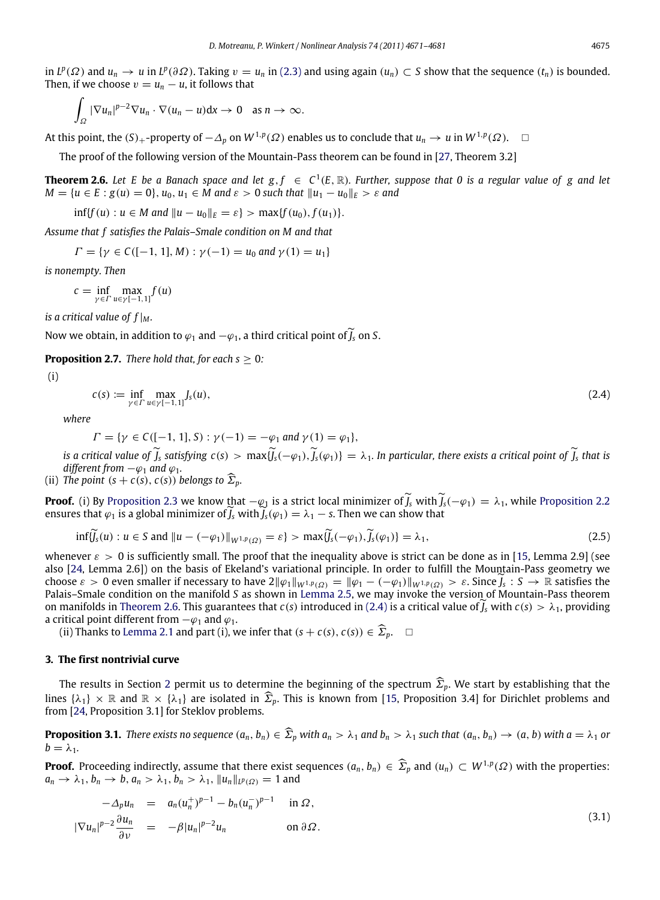in *L*<sup>*p*</sup>( $\Omega$ ) and *u<sub>n</sub>* → *u* in *L*<sup>*p*</sup>( $\partial \Omega$ ). Taking *v* = *u<sub>n</sub>* in [\(2.3\)](#page-3-1) and using again (*u<sub>n</sub>*) ⊂ *S* show that the sequence (*t<sub>n</sub>*) is bounded. Then, if we choose  $v = u_n - u$ , it follows that

$$
\int_{\Omega} |\nabla u_n|^{p-2} \nabla u_n \cdot \nabla (u_n - u) \, dx \to 0 \quad \text{as } n \to \infty.
$$

At this point, the  $(S)_+$ -property of  $-\Delta_p$  on  $W^{1,p}(\varOmega)$  enables us to conclude that  $u_n\to u$  in  $W^{1,p}(\varOmega)$ . □

The proof of the following version of the Mountain-Pass theorem can be found in [\[27,](#page-10-13) Theorem 3.2]

**Theorem 2.6.** Let E be a Banach space and let  $g, f \in C^1(E, \mathbb{R})$ . Further, suppose that 0 is a regular value of g and let *M* = {*u* ∈ *E* : *g*(*u*) = 0}, *u*<sub>0</sub>, *u*<sub>1</sub> ∈ *M* and  $\varepsilon$  > 0 *such that*  $||u_1 - u_0||_F$  >  $\varepsilon$  *and* 

<span id="page-4-1"></span> $\inf\{f(u) : u \in M \text{ and } ||u - u_0||_E = \varepsilon\} > \max\{f(u_0), f(u_1)\}.$ 

*Assume that f satisfies the Palais–Smale condition on M and that*

$$
\Gamma = \{ \gamma \in C([-1, 1], M) : \gamma(-1) = u_0 \text{ and } \gamma(1) = u_1 \}
$$

*is nonempty. Then*

 $c = \inf_{\gamma \in \Gamma} \max_{u \in \gamma[-1,1]} f(u)$ 

*is a critical value of*  $f|_M$ *.* 

Now we obtain, in addition to  $\varphi_1$  and  $-\varphi_1$ , a third critical point of  $\widetilde{I}_s$  on *S*.

**Proposition 2.7.** *There hold that, for each s*  $> 0$ *:* 

(i)

<span id="page-4-4"></span>
$$
c(s) := \inf_{\gamma \in \Gamma} \max_{u \in \gamma[-1,1]} J_s(u),\tag{2.4}
$$

*where*

<span id="page-4-2"></span>
$$
\Gamma = \{ \gamma \in C([-1, 1], S) : \gamma(-1) = -\varphi_1 \text{ and } \gamma(1) = \varphi_1 \},
$$

*is a critical value of*  $\widetilde{J}_s$  *satisfying*  $c(s) > \max{\{\widetilde{J}_s(-\varphi_1), \widetilde{J}_s(\varphi_1)\}} = \lambda_1$ *. In particular, there exists a critical point of*  $\widetilde{J}_s$  *that is different from*  $-\varphi_1$  *and*  $\varphi_1$ *.* 

(ii) *The point*  $(s + c(s), c(s))$  *belongs to*  $\widehat{\Sigma}_p$ *.* 

**Proof.** (i) By [Proposition 2.3](#page-2-4) we know that  $-\varphi_1$  is a strict local minimizer of  $\widetilde{J}_s$  with  $\widetilde{J}_s(-\varphi_1) = \lambda_1$ , while [Proposition 2.2](#page-2-3) ensures that  $\varphi_1$  is a global minimizer of  $J_s$  with  $J_s(\varphi_1) = \lambda_1 - s$ . Then we can show that

$$
\inf \{\widetilde{J}_s(u) : u \in S \text{ and } \|u - (-\varphi_1)\|_{W^{1,p}(\Omega)} = \varepsilon\} > \max \{\widetilde{J}_s(-\varphi_1), \widetilde{J}_s(\varphi_1)\} = \lambda_1,\tag{2.5}
$$

whenever  $\varepsilon > 0$  is sufficiently small. The proof that the inequality above is strict can be done as in [\[15,](#page-10-6) Lemma 2.9] (see also [\[24,](#page-10-10) Lemma 2.6]) on the basis of Ekeland's variational principle. In order to fulfill the Mountain-Pass geometry we choose  $\varepsilon > 0$  even smaller if necessary to have  $2\|\varphi_1\|_{W^{1,p}(\Omega)} = \|\varphi_1 - (-\varphi_1)\|_{W^{1,p}(\Omega)} > \varepsilon$ . Since  $J_s : S \to \mathbb{R}$  satisfies the Palais–Smale condition on the manifold *S* as shown in [Lemma 2.5,](#page-3-2) we may invoke the version of Mountain-Pass theorem on manifolds in [Theorem 2.6.](#page-4-1) This guarantees that *c*(*s*) introduced in [\(2.4\)](#page-4-2) is a critical value of  $J_s$  with  $c(s) > \lambda_1$ , providing a critical point different from  $-\varphi_1$  and  $\varphi_1$ .

(ii) Thanks to [Lemma 2.1](#page-2-2) and part (i), we infer that  $(s + c(s), c(s)) \in \widehat{\Sigma}_p$ .  $\square$ 

#### <span id="page-4-0"></span>**3. The first nontrivial curve**

The results in Section [2](#page-2-0) permit us to determine the beginning of the spectrum  $\widehat{\Sigma}_p$ . We start by establishing that the lines  $\{\lambda_1\} \times \mathbb{R}$  and  $\mathbb{R} \times \{\lambda_1\}$  are isolated in  $\widehat{\Sigma}_p$ . This is known from [\[15,](#page-10-6) Proposition 3.4] for Dirichlet problems and from [\[24,](#page-10-10) Proposition 3.1] for Steklov problems.

<span id="page-4-5"></span>**Proposition 3.1.** There exists no sequence  $(a_n, b_n) \in \hat{\Sigma}_n$  with  $a_n > \lambda_1$  and  $b_n > \lambda_1$  such that  $(a_n, b_n) \to (a, b)$  with  $a = \lambda_1$  or  $b = \lambda_1$ .

**Proof.** Proceeding indirectly, assume that there exist sequences  $(a_n, b_n) \in \widehat{\Sigma}_p$  and  $(u_n) \subset W^{1,p}(\Omega)$  with the properties:  $a_n \to \lambda_1, b_n \to b, a_n > \lambda_1, b_n > \lambda_1, \|u_n\|_{L^p(\Omega)} = 1$  and

<span id="page-4-3"></span>
$$
-\Delta_p u_n = a_n (u_n^+)^{p-1} - b_n (u_n^-)^{p-1} \quad \text{in } \Omega,
$$
  

$$
|\nabla u_n|^{p-2} \frac{\partial u_n}{\partial \nu} = -\beta |u_n|^{p-2} u_n \quad \text{on } \partial \Omega.
$$
 (3.1)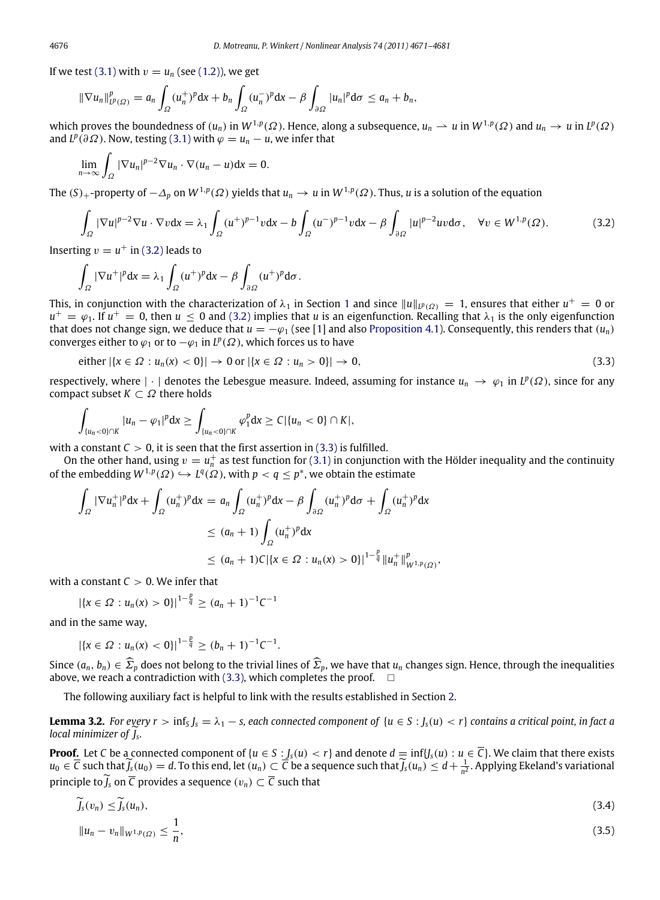If we test [\(3.1\)](#page-4-3) with  $v = u_n$  (see [\(1.2\)\)](#page-0-5), we get

$$
\|\nabla u_n\|_{L^p(\Omega)}^p=a_n\int_{\Omega}(u_n^+)^p\mathrm{d} x+b_n\int_{\Omega}(u_n^-)^p\mathrm{d} x-\beta\int_{\partial\Omega}|u_n|^p\mathrm{d}\sigma\leq a_n+b_n,
$$

which proves the boundedness of  $(u_n)$  in  $W^{1,p}(\Omega)$ . Hence, along a subsequence,  $u_n \to u$  in  $W^{1,p}(\Omega)$  and  $u_n \to u$  in  $L^p(\Omega)$ and  $L^p(\partial\Omega)$ . Now, testing [\(3.1\)](#page-4-3) with  $\varphi = u_n - u$ , we infer that

$$
\lim_{n\to\infty}\int_{\Omega}|\nabla u_n|^{p-2}\nabla u_n\cdot\nabla(u_n-u)\mathrm{d}x=0.
$$

The  $(S)_+$ -property of  $-\Delta_p$  on  $W^{1,p}(\varOmega)$  yields that  $u_n\to u$  in  $W^{1,p}(\varOmega)$ . Thus,  $u$  is a solution of the equation

$$
\int_{\Omega} |\nabla u|^{p-2} \nabla u \cdot \nabla v dx = \lambda_1 \int_{\Omega} (u^+)^{p-1} v dx - b \int_{\Omega} (u^-)^{p-1} v dx - \beta \int_{\partial \Omega} |u|^{p-2} u v d\sigma, \quad \forall v \in W^{1,p}(\Omega). \tag{3.2}
$$

Inserting  $v = u^+$  in [\(3.2\)](#page-5-0) leads to

$$
\int_{\Omega} |\nabla u^+|^p dx = \lambda_1 \int_{\Omega} (u^+)^p dx - \beta \int_{\partial \Omega} (u^+)^p d\sigma.
$$

This, in conjunction with the characterization of  $\lambda_1$  $\lambda_1$  in Section 1 and since  $\|u\|_{L^p(\Omega)}\,=\,1$ , ensures that either  $u^+=\,0$  or  $u^+=\varphi_1$ . If  $u^+=0$ , then  $u\leq 0$  and [\(3.2\)](#page-5-0) implies that *u* is an eigenfunction. Recalling that  $\lambda_1$  is the only eigenfunction that does not change sign, we deduce that  $u = -\varphi_1$  (see [\[1\]](#page-10-0) and also [Proposition 4.1\)](#page-7-1). Consequently, this renders that  $(u_n)$ converges either to  $\varphi_1$  or to  $-\varphi_1$  in  $L^p(\Omega)$ , which forces us to have

either 
$$
|\{x \in \Omega : u_n(x) < 0\}| \to 0 \text{ or } |\{x \in \Omega : u_n > 0\}| \to 0,
$$
 (3.3)

respectively, where  $|\cdot|$  denotes the Lebesgue measure. Indeed, assuming for instance  $u_n \to \varphi_1$  in  $L^p(\Omega)$ , since for any compact subset  $K \subset \Omega$  there holds

$$
\int_{\{u_n<0\}\cap K} |u_n-\varphi_1|^p dx \geq \int_{\{u_n<0\}\cap K} \varphi_1^p dx \geq C |\{u_n<0\}\cap K|,
$$

with a constant  $C > 0$ , it is seen that the first assertion in [\(3.3\)](#page-5-1) is fulfilled.

On the other hand, using  $v = u_n^+$  as test function for [\(3.1\)](#page-4-3) in conjunction with the Hölder inequality and the continuity of the embedding  $W^{1,p}(\Omega) \hookrightarrow L^q(\Omega)$ , with  $p < q \leq p^*$ , we obtain the estimate

<span id="page-5-3"></span><span id="page-5-2"></span><span id="page-5-1"></span><span id="page-5-0"></span>,

$$
\int_{\Omega} |\nabla u_n^+|^p dx + \int_{\Omega} (u_n^+)^p dx = a_n \int_{\Omega} (u_n^+)^p dx - \beta \int_{\partial \Omega} (u_n^+)^p d\sigma + \int_{\Omega} (u_n^+)^p dx
$$
  
\n
$$
\leq (a_n + 1) \int_{\Omega} (u_n^+)^p dx
$$
  
\n
$$
\leq (a_n + 1)C |\{x \in \Omega : u_n(x) > 0\}|^{1 - \frac{p}{q}} ||u_n^+||_{W^{1,p}(\Omega)}^p
$$

with a constant  $C > 0$ . We infer that

$$
|\{x \in \Omega : u_n(x) > 0\}|^{1-\frac{p}{q}} \ge (a_n + 1)^{-1}C^{-1}
$$

and in the same way,

$$
|\{x\in\Omega:u_n(x)<0\}|^{1-\frac{p}{q}}\geq (b_n+1)^{-1}C^{-1}.
$$

Since  $(a_n, b_n) \in \hat{\Sigma}_p$  does not belong to the trivial lines of  $\hat{\Sigma}_p$ , we have that  $u_n$  changes sign. Hence, through the inequalities above, we reach a contradiction with [\(3.3\),](#page-5-1) which completes the proof.  $\square$ 

<span id="page-5-4"></span>The following auxiliary fact is helpful to link with the results established in Section [2.](#page-2-0)

**Lemma 3.2.** For every  $r > \inf_S J_s = \lambda_1 - s$ , each connected component of  $\{u \in S : J_s(u) < r\}$  contains a critical point, in fact a *local minimizer of J<sup>s</sup> .*

**Proof.** Let *C* be a connected component of  $\{u \in S : J_s(u) < r\}$  and denote  $d = \inf\{J_s(u) : u \in \overline{C}\}$ . We claim that there exists  $u_0\in\overline{\mathcal{C}}$  such that  $\widetilde{J}_s(u_0)=d.$  To this end, let  $(u_n)\subset\overline{\mathcal{C}}$  be a sequence such that  $\widetilde{J}_s(u_n)\leq d+\frac{1}{n^2}.$  Applying Ekeland's variational principle to  $\widetilde{J}_s$  on  $\overline{C}$  provides a sequence  $(v_n) \subset \overline{C}$  such that

$$
\widetilde{J}_s(v_n) \le \widetilde{J}_s(u_n),\tag{3.4}
$$

$$
||u_n - v_n||_{W^{1,p}(\Omega)} \le \frac{1}{n},\tag{3.5}
$$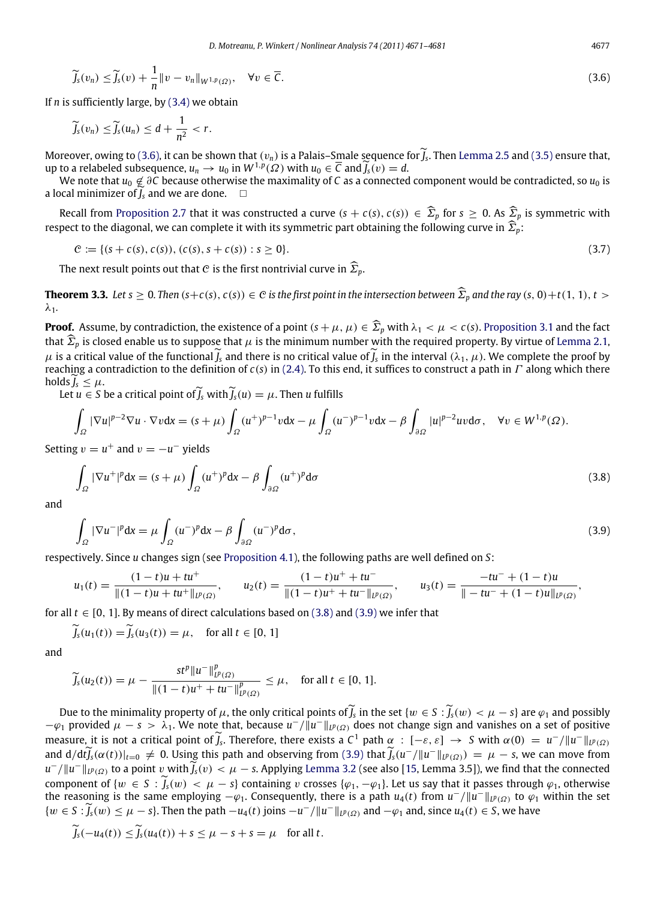$$
\widetilde{J}_s(v_n) \le \widetilde{J}_s(v) + \frac{1}{n} \|v - v_n\|_{W^{1,p}(\Omega)}, \quad \forall v \in \overline{\mathcal{C}}.
$$
\n(3.6)

If *n* is sufficiently large, by [\(3.4\)](#page-5-2) we obtain

<span id="page-6-0"></span>
$$
\widetilde{J}_s(v_n)\leq \widetilde{J}_s(u_n)\leq d+\frac{1}{n^2}
$$

Moreover, owing to [\(3.6\),](#page-6-0) it can be shown that  $(v_n)$  is a Palais–Smale sequence for *J<sub>s</sub>*. Then [Lemma 2.5](#page-3-2) and [\(3.5\)](#page-5-3) ensure that,  $(v_n)$  is  $\overline{v}$  and  $\overline{v}$  ( $\overline{v}$ )  $\overline{v}$  and  $\overline{v}$  ( $\overline{v}$ )  $\overline{v}$  and  $\over$ up to a relabeled subsequence,  $u_n \to u_0$  in  $W^{1,p}(\Omega)$  with  $u_0 \in \overline{C}$  and  $\overline{f}_s(v) = d$ .<br>We note that  $u_n \notin \mathcal{X}$  because otherwise the maximality of  $C$  as a sonnection

We note that  $u_0 \notin \partial C$  because otherwise the maximality of *C* as a connected component would be contradicted, so  $u_0$  is a local minimizer of  $\widetilde{J}_s$  and we are done.  $\Box$ 

Recall from [Proposition 2.7](#page-4-4) that it was constructed a curve  $(s + c(s), c(s)) \in \hat{\Sigma}_p$  for  $s \ge 0$ . As  $\hat{\Sigma}_p$  is symmetric with respect to the diagonal, we can complete it with its symmetric part obtaining the following curve in  $\widehat{\Sigma}_n$ :

<span id="page-6-4"></span><span id="page-6-3"></span>
$$
C := \{ (s + c(s), c(s)), (c(s), s + c(s)) : s \ge 0 \}.
$$
\n(3.7)

The next result points out that C is the first nontrivial curve in  $\widehat{\Sigma}_n$ .

**Theorem 3.3.** Let  $s \ge 0$ . Then  $(s+c(s), c(s)) \in \mathcal{C}$  is the first point in the intersection between  $\widehat{\Sigma}_p$  and the ray  $(s, 0) + t(1, 1), t > 0$ . λ1*.*

**Proof.** Assume, by contradiction, the existence of a point  $(s + \mu, \mu) \in \widehat{\Sigma}_p$  with  $\lambda_1 < \mu < c(s)$ . [Proposition 3.1](#page-4-5) and the fact that  $\widehat{\Sigma}_p$  is closed enable us to suppose that  $\mu$  is the minimum number with the required property. By virtue of [Lemma 2.1,](#page-2-2)  $\mu$  is a critical value of the functional *J<sub>s</sub>* and there is no critical value of *J<sub>s</sub>* in the interval  $(\lambda_1, \mu)$ . We complete the proof by reaching a contradiction to the definition of  $\alpha(\lambda)$  in (2.4). To this and i reaching a contradiction to the definition of *c*(*s*) in [\(2.4\).](#page-4-2) To this end, it suffices to construct a path in Γ along which there holds  $J_s < \mu$ .

Let *<sup>u</sup>* <sup>∈</sup> *<sup>S</sup>* be a critical point of*J<sup>s</sup>* with*Js*(*u*) <sup>=</sup> <sup>µ</sup>. Then *<sup>u</sup>* fulfills

$$
\int_{\Omega} |\nabla u|^{p-2} \nabla u \cdot \nabla v dx = (s + \mu) \int_{\Omega} (u^+)^{p-1} v dx - \mu \int_{\Omega} (u^-)^{p-1} v dx - \beta \int_{\partial \Omega} |u|^{p-2} u v d\sigma, \quad \forall v \in W^{1,p}(\Omega).
$$

Setting  $v = u^+$  and  $v = -u^-$  yields

<span id="page-6-1"></span>
$$
\int_{\Omega} |\nabla u^{+}|^{p} dx = (s + \mu) \int_{\Omega} (u^{+})^{p} dx - \beta \int_{\partial \Omega} (u^{+})^{p} d\sigma
$$
\n(3.8)

and

<span id="page-6-2"></span>
$$
\int_{\Omega} |\nabla u^{-}|^{p} dx = \mu \int_{\Omega} (u^{-})^{p} dx - \beta \int_{\partial \Omega} (u^{-})^{p} d\sigma,
$$
\n(3.9)

respectively. Since *u* changes sign (see [Proposition 4.1\)](#page-7-1), the following paths are well defined on *S*:

$$
u_1(t) = \frac{(1-t)u + tu^+}{\|(1-t)u + tu^+\|_{L^p(\Omega)}}, \qquad u_2(t) = \frac{(1-t)u^+ + tu^-}{\|(1-t)u^+ + tu^-\|_{L^p(\Omega)}}, \qquad u_3(t) = \frac{-tu^- + (1-t)u^-}{\|-tu^- + (1-t)u\|_{L^p(\Omega)}},
$$

for all  $t \in [0, 1]$ . By means of direct calculations based on [\(3.8\)](#page-6-1) and [\(3.9\)](#page-6-2) we infer that

$$
\tilde{J}_s(u_1(t)) = \tilde{J}_s(u_3(t)) = \mu
$$
, for all  $t \in [0, 1]$ 

and

$$
\widetilde{J}_s(u_2(t)) = \mu - \frac{st^p \|u^-\|_{L^p(\Omega)}^p}{\|(1-t)u^+ + tu^-\|_{L^p(\Omega)}^p} \le \mu, \quad \text{for all } t \in [0, 1].
$$

Due to the minimality property of  $\mu$ , the only critical points of  $\tilde{J}_s$  in the set  $\{w \in S : \tilde{J}_s(w) < \mu - s\}$  are  $\varphi_1$  and possibly  $-\varphi_1$  provided  $\mu - s > \lambda_1$ . We note that, because  $u^-/\|u^-\|_{L^p(\Omega)}$  does not change sign and vanishes on a set of positive measure, it is not a critical point of  $\tilde{J}_s$ . Therefore, there exists a  $C^1$  path  $\alpha : [-\varepsilon, \varepsilon] \to S$  with  $\alpha(0) = u^-/\|u^-\|_{L^p(\Omega)}$ and  $d/dt\tilde{f}_s(\alpha(t))|_{t=0} \neq 0$ . Using this path and observing from [\(3.9\)](#page-6-2) that  $\tilde{f}_s(u^-/||u^-||_{L^p(\Omega)}) = \mu - s$ , we can move from *u*<sup>−</sup>/ $||u^-||_{L^p(\Omega)}$  to a point v with  $\widetilde{J}_s(v) < \mu$  − *s*. Applying [Lemma 3.2](#page-5-4) (see also [\[15,](#page-10-6) Lemma 3.5]), we find that the connected component of  $\{w \in S : J_s(w) < \mu - s\}$  containing v crosses  $\{\varphi_1, -\varphi_1\}$ . Let us say that it passes through  $\varphi_1$ , otherwise the reasoning is the same employing  $-\varphi_1$ . Consequently, there is a path  $u_4(t)$  from  $u^-/\|u^-\|_{L^p(\Omega)}$  to  $\varphi_1$  within the set  ${w \in S : J_s(w) ≤ μ - s}$ . Then the path  $-u_4(t)$  joins  $-u^-/||u^-||_{L^p(\Omega)}$  and  $-\varphi_1$  and, since  $u_4(t) \in S$ , we have

$$
\widetilde{J}_s(-u_4(t)) \leq \widetilde{J}_s(u_4(t)) + s \leq \mu - s + s = \mu \quad \text{for all } t.
$$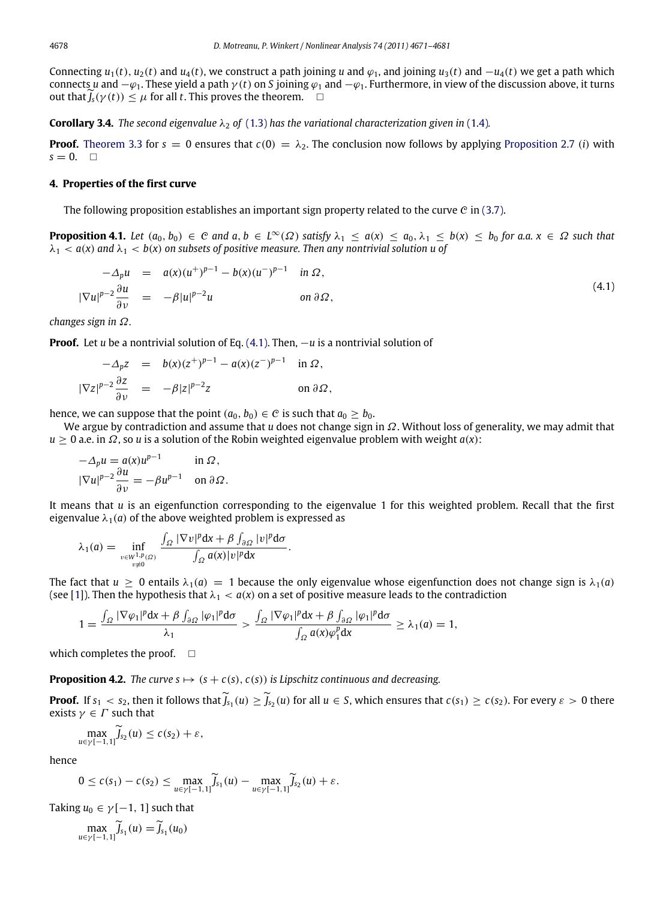Connecting  $u_1(t)$ ,  $u_2(t)$  and  $u_4(t)$ , we construct a path joining *u* and  $\varphi_1$ , and joining  $u_3(t)$  and  $-u_4(t)$  we get a path which connects *u* and −ϕ1. These yield a path γ (*t*) on *S* joining ϕ<sup>1</sup> and −ϕ1. Furthermore, in view of the discussion above, it turns out that  $J_s(\gamma(t)) \leq \mu$  for all *t*. This proves the theorem.  $\Box$ 

**Corollary 3.4.** *The second eigenvalue*  $\lambda_2$  *of* [\(1.3\)](#page-0-4) *has the variational characterization given in* [\(1.4\)](#page-1-1)*.* 

**Proof.** [Theorem 3.3](#page-6-3) for  $s = 0$  ensures that  $c(0) = \lambda_2$ . The conclusion now follows by applying [Proposition 2.7](#page-4-4) (*i*) with  $s = 0$ .  $\Box$ 

### <span id="page-7-0"></span>**4. Properties of the first curve**

The following proposition establishes an important sign property related to the curve  $C$  in [\(3.7\).](#page-6-4)

**Proposition 4.1.** Let  $(a_0, b_0) \in C$  and  $a, b \in L^{\infty}(\Omega)$  satisfy  $\lambda_1 \le a(x) \le a_0, \lambda_1 \le b(x) \le b_0$  for a.a.  $x \in \Omega$  such that  $\lambda_1 < a(x)$  and  $\lambda_1 < b(x)$  on subsets of positive measure. Then any nontrivial solution u of

<span id="page-7-1"></span>
$$
-\Delta_p u = a(x)(u^+)^{p-1} - b(x)(u^-)^{p-1} \quad \text{in } \Omega,
$$
  

$$
|\nabla u|^{p-2} \frac{\partial u}{\partial v} = -\beta |u|^{p-2} u \qquad \text{on } \partial \Omega,
$$
 (4.1)

*changes sign in* Ω*.*

**Proof.** Let *u* be a nontrivial solution of Eq. [\(4.1\).](#page-7-2) Then, −*u* is a nontrivial solution of

$$
-\Delta_p z = b(x)(z^+)^{p-1} - a(x)(z^-)^{p-1} \quad \text{in } \Omega,
$$
  

$$
|\nabla z|^{p-2} \frac{\partial z}{\partial \nu} = -\beta |z|^{p-2} z \qquad \text{on } \partial \Omega,
$$

hence, we can suppose that the point  $(a_0, b_0) \in C$  is such that  $a_0 \ge b_0$ .

We argue by contradiction and assume that *u* does not change sign in Ω. Without loss of generality, we may admit that  $u \geq 0$  a.e. in  $\Omega$ , so *u* is a solution of the Robin weighted eigenvalue problem with weight  $a(x)$ :

$$
-\Delta_p u = a(x)u^{p-1} \quad \text{in } \Omega,
$$
  

$$
|\nabla u|^{p-2}\frac{\partial u}{\partial v} = -\beta u^{p-1} \quad \text{on } \partial \Omega.
$$

It means that *u* is an eigenfunction corresponding to the eigenvalue 1 for this weighted problem. Recall that the first eigenvalue  $\lambda_1(a)$  of the above weighted problem is expressed as

$$
\lambda_1(a) = \inf_{\substack{v \in W^{1,p}(\Omega) \\ v \neq 0}} \frac{\int_{\Omega} |\nabla v|^p \, dx + \beta \int_{\partial \Omega} |v|^p \, d\sigma}{\int_{\Omega} a(x)|v|^p \, dx}
$$

The fact that  $u \ge 0$  entails  $\lambda_1(a) = 1$  because the only eigenvalue whose eigenfunction does not change sign is  $\lambda_1(a)$ (see [\[1\]](#page-10-0)). Then the hypothesis that  $\lambda_1 < a(x)$  on a set of positive measure leads to the contradiction

$$
1 = \frac{\int_{\Omega} |\nabla \varphi_1|^p dx + \beta \int_{\partial \Omega} |\varphi_1|^p d\sigma}{\lambda_1} > \frac{\int_{\Omega} |\nabla \varphi_1|^p dx + \beta \int_{\partial \Omega} |\varphi_1|^p d\sigma}{\int_{\Omega} a(x) \varphi_1^p dx} \geq \lambda_1(a) = 1,
$$

<span id="page-7-2"></span>.

which completes the proof.  $\square$ 

**Proposition 4.2.** *The curve s*  $\mapsto$  (*s* + *c*(*s*), *c*(*s*)) *is Lipschitz continuous and decreasing.* 

**Proof.** If  $s_1 < s_2$ , then it follows that  $\overline{f}_{s_1}(u) \ge \overline{f}_{s_2}(u)$  for all  $u \in S$ , which ensures that  $c(s_1) \ge c(s_2)$ . For every  $\varepsilon > 0$  there exists  $\gamma \in \Gamma$  such that

<span id="page-7-3"></span>
$$
\max_{u \in \gamma[-1,1]} \widetilde{J}_{s_2}(u) \leq c(s_2) + \varepsilon,
$$

hence

$$
0 \leq c(s_1) - c(s_2) \leq \max_{u \in \gamma[-1,1]} \widetilde{J}_{s_1}(u) - \max_{u \in \gamma[-1,1]} \widetilde{J}_{s_2}(u) + \varepsilon.
$$

Taking  $u_0 \in \gamma[-1, 1]$  such that

$$
\max_{u \in \gamma[-1,1]} \widetilde{J}_{s_1}(u) = \widetilde{J}_{s_1}(u_0)
$$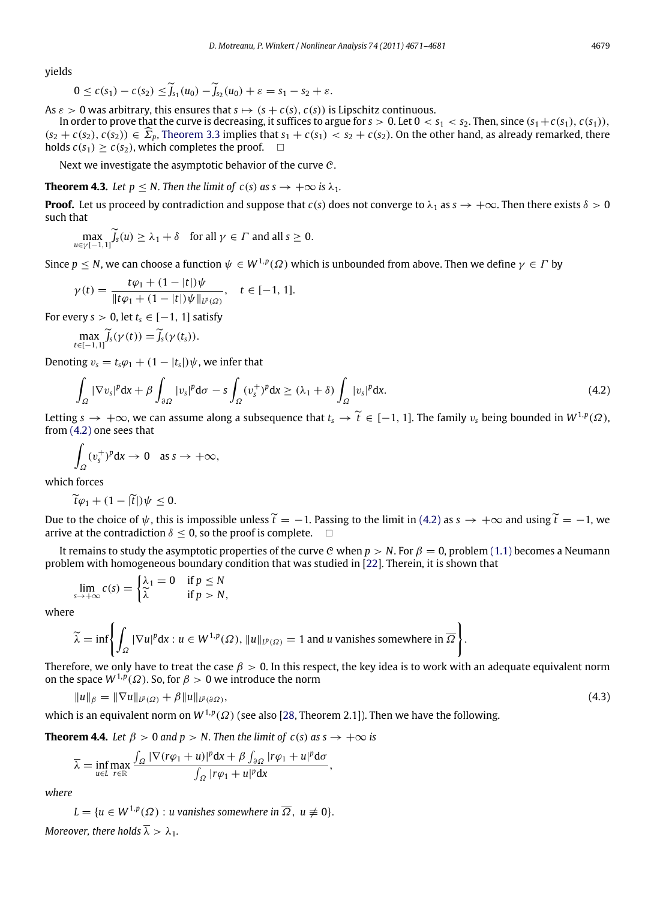yields

$$
0 \leq c(s_1) - c(s_2) \leq \widetilde{J}_{s_1}(u_0) - \widetilde{J}_{s_2}(u_0) + \varepsilon = s_1 - s_2 + \varepsilon.
$$

As  $\varepsilon > 0$  was arbitrary, this ensures that  $s \mapsto (s + c(s), c(s))$  is Lipschitz continuous.

In order to prove that the curve is decreasing, it suffices to argue for  $s > 0$ . Let  $0 < s_1 < s_2$ . Then, since  $(s_1 + c(s_1), c(s_1))$ ,  $(s_2 + c(s_2), c(s_2)) \in \widehat{\Sigma}_p$ , [Theorem 3.3](#page-6-3) implies that  $s_1 + c(s_1) < s_2 + c(s_2)$ . On the other hand, as already remarked, there holds  $c(s_1) > c(s_2)$ , which completes the proof.  $\Box$ 

<span id="page-8-2"></span>Next we investigate the asymptotic behavior of the curve C.

**Theorem 4.3.** *Let*  $p \le N$ *. Then the limit of*  $c(s)$  *as*  $s \to +\infty$  *is*  $\lambda_1$ *.* 

**Proof.** Let us proceed by contradiction and suppose that  $c(s)$  does not converge to  $\lambda_1$  as  $s \to +\infty$ . Then there exists  $\delta > 0$ such that

$$
\max_{u \in \gamma[-1,1]} \widetilde{J}_s(u) \ge \lambda_1 + \delta \quad \text{for all } \gamma \in \Gamma \text{ and all } s \ge 0.
$$

Since  $p\leq N$ , we can choose a function  $\psi\in W^{1,p}(\varOmega)$  which is unbounded from above. Then we define  $\gamma\in\varGamma$  by

$$
\gamma(t) = \frac{t\varphi_1 + (1 - |t|)\psi}{\|t\varphi_1 + (1 - |t|)\psi\|_{L^p(\Omega)}}, \quad t \in [-1, 1].
$$

For every  $s > 0$ , let  $t_s \in [-1, 1]$  satisfy

$$
\max_{t\in[-1,1]}\widetilde{J}_s(\gamma(t))=\widetilde{J}_s(\gamma(t_s)).
$$

Denoting  $v_s = t_s \varphi_1 + (1 - |t_s|) \psi$ , we infer that

<span id="page-8-0"></span>
$$
\int_{\Omega} |\nabla v_{s}|^{p} dx + \beta \int_{\partial \Omega} |v_{s}|^{p} d\sigma - s \int_{\Omega} (v_{s}^{+})^{p} dx \ge (\lambda_{1} + \delta) \int_{\Omega} |v_{s}|^{p} dx.
$$
\n(4.2)

Letting  $s \to +\infty$ , we can assume along a subsequence that  $t_s \to \tilde{t} \in [-1, 1]$ . The family  $v_s$  being bounded in  $W^{1, p}(\Omega)$ , from (A,2) one sees that from [\(4.2\)](#page-8-0) one sees that

$$
\int_{\Omega} (v_s^+)^p dx \to 0 \quad \text{as } s \to +\infty,
$$

which forces

$$
\widetilde{t}\varphi_1+(1-|\widetilde{t}|)\psi\leq 0.
$$

Due to the choice of  $\psi$ , this is impossible unless  $\tilde{t} = -1$ . Passing to the limit in [\(4.2\)](#page-8-0) as  $s \to +\infty$  and using  $\tilde{t} = -1$ , we arrive at the contradiction  $\delta$  < 0, so the proof is complete.  $\Box$ 

It remains to study the asymptotic properties of the curve C when *p* > *N*. For β = 0, problem [\(1.1\)](#page-0-3) becomes a Neumann problem with homogeneous boundary condition that was studied in [\[22\]](#page-10-9). Therein, it is shown that

$$
\lim_{s \to +\infty} c(s) = \begin{cases} \lambda_1 = 0 & \text{if } p \le N \\ \lambda & \text{if } p > N, \end{cases}
$$

where

$$
\widetilde{\lambda} = \inf \left\{ \int_{\Omega} |\nabla u|^p dx : u \in W^{1,p}(\Omega), ||u||_{L^p(\Omega)} = 1 \text{ and } u \text{ vanishes somewhere in } \overline{\Omega} \right\}.
$$

Therefore, we only have to treat the case  $\beta > 0$ . In this respect, the key idea is to work with an adequate equivalent norm on the space  $W^{1,p}(\Omega)$ . So, for  $\beta > 0$  we introduce the norm

$$
||u||_{\beta} = ||\nabla u||_{L^{p}(\Omega)} + \beta ||u||_{L^{p}(\partial\Omega)},
$$
\n(4.3)

which is an equivalent norm on  $W^{1,p}(\Omega)$  (see also [\[28,](#page-10-14) Theorem 2.1]). Then we have the following.

**Theorem 4.4.** *Let*  $\beta > 0$  *and*  $p > N$ *. Then the limit of*  $c(s)$  *as*  $s \rightarrow +\infty$  *is* 

<span id="page-8-1"></span>
$$
\overline{\lambda} = \inf_{u \in L} \max_{r \in \mathbb{R}} \frac{\int_{\Omega} |\nabla (r\varphi_1 + u)|^p dx + \beta \int_{\partial \Omega} |r\varphi_1 + u|^p d\sigma}{\int_{\Omega} |r\varphi_1 + u|^p dx},
$$

*where*

$$
L = \{u \in W^{1,p}(\Omega) : u \text{ vanishes somewhere in } \overline{\Omega}, u \not\equiv 0\}.
$$

*Moreover, there holds*  $\overline{\lambda} > \lambda_1$ *.*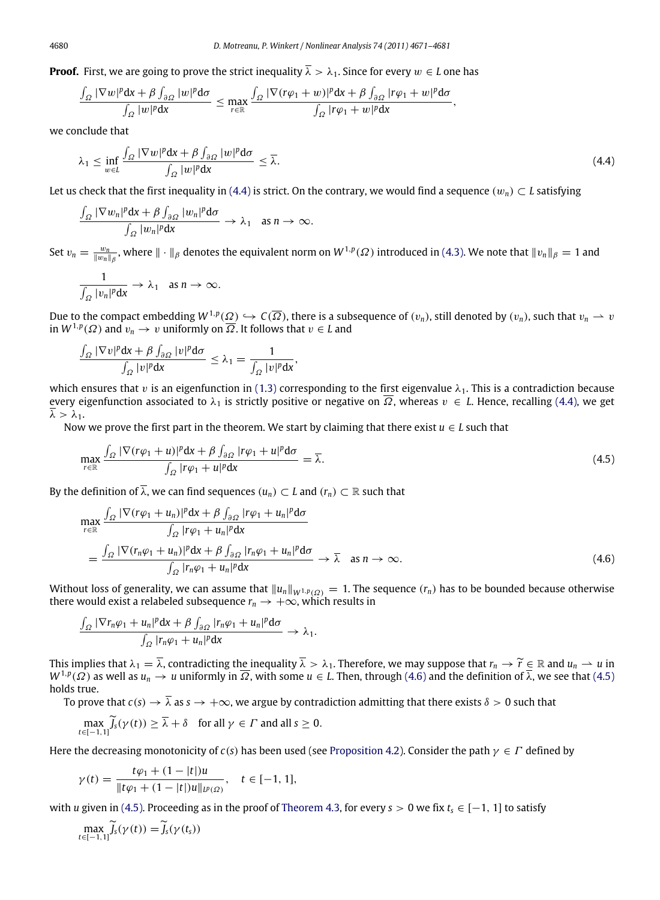**Proof.** First, we are going to prove the strict inequality  $\overline{\lambda} > \lambda_1$ . Since for every  $w \in L$  one has

$$
\frac{\int_{\Omega}|\nabla w|^p\mathrm{d} x+\beta\int_{\partial\Omega}|w|^p\mathrm{d}\sigma}{\int_{\Omega}|w|^p\mathrm{d} x}\leq \max_{r\in\mathbb{R}}\frac{\int_{\Omega}|\nabla(r\varphi_1+w)|^p\mathrm{d} x+\beta\int_{\partial\Omega}|r\varphi_1+w|^p\mathrm{d}\sigma}{\int_{\Omega}|r\varphi_1+w|^p\mathrm{d} x},
$$

we conclude that

<span id="page-9-0"></span>
$$
\lambda_1 \le \inf_{w \in L} \frac{\int_{\Omega} |\nabla w|^p dx + \beta \int_{\partial \Omega} |w|^p d\sigma}{\int_{\Omega} |w|^p dx} \le \overline{\lambda}.
$$
\n(4.4)

Let us check that the first inequality in [\(4.4\)](#page-9-0) is strict. On the contrary, we would find a sequence  $(w_n) \subset L$  satisfying

$$
\frac{\int_{\Omega} |\nabla w_n|^p dx + \beta \int_{\partial \Omega} |w_n|^p d\sigma}{\int_{\Omega} |w_n|^p dx} \to \lambda_1 \quad \text{as } n \to \infty.
$$

Set  $v_n = \frac{w_n}{\|w_n\|_\beta}$ , where  $\|\cdot\|_\beta$  denotes the equivalent norm on  $W^{1,p}(\Omega)$  introduced in [\(4.3\).](#page-8-1) We note that  $\|v_n\|_\beta = 1$  and

$$
\frac{1}{\int_{\Omega}|v_{n}|^{p}dx}\rightarrow\lambda_{1} \text{ as } n\rightarrow\infty.
$$

Due to the compact embedding  $W^{1,p}(\Omega) \hookrightarrow C(\overline{\Omega})$ , there is a subsequence of  $(v_n)$ , still denoted by  $(v_n)$ , such that  $v_n \to v$ in  $W^{1,p}(\Omega)$  and  $v_n \to v$  uniformly on  $\overline{\Omega}$ . It follows that  $v \in L$  and

$$
\frac{\int_{\Omega} |\nabla v|^p dx + \beta \int_{\partial \Omega} |v|^p d\sigma}{\int_{\Omega} |v|^p dx} \leq \lambda_1 = \frac{1}{\int_{\Omega} |v|^p dx},
$$

which ensures that v is an eigenfunction in [\(1.3\)](#page-0-4) corresponding to the first eigenvalue  $\lambda_1$ . This is a contradiction because every eigenfunction associated to  $\lambda_1$  is strictly positive or negative on  $\overline{\Omega}$ , whereas  $v \in L$ . Hence, recalling [\(4.4\),](#page-9-0) we get  $\overline{\lambda} > \lambda_1$ .

Now we prove the first part in the theorem. We start by claiming that there exist  $u \in L$  such that

<span id="page-9-2"></span>
$$
\max_{r \in \mathbb{R}} \frac{\int_{\Omega} |\nabla (r\varphi_1 + u)|^p dx + \beta \int_{\partial \Omega} |r\varphi_1 + u|^p d\sigma}{\int_{\Omega} |r\varphi_1 + u|^p dx} = \overline{\lambda}.
$$
\n(4.5)

By the definition of  $\overline{\lambda}$ , we can find sequences  $(u_n) \subset L$  and  $(r_n) \subset \mathbb{R}$  such that

<span id="page-9-1"></span>
$$
\max_{r \in \mathbb{R}} \frac{\int_{\Omega} |\nabla (r\varphi_1 + u_n)|^p dx + \beta \int_{\partial \Omega} |r\varphi_1 + u_n|^p d\sigma}{\int_{\Omega} |r\varphi_1 + u_n|^p dx}
$$
\n
$$
= \frac{\int_{\Omega} |\nabla (r_n\varphi_1 + u_n)|^p dx + \beta \int_{\partial \Omega} |r_n\varphi_1 + u_n|^p d\sigma}{\int_{\Omega} |r_n\varphi_1 + u_n|^p dx} \to \overline{\lambda} \text{ as } n \to \infty. \tag{4.6}
$$

Without loss of generality, we can assume that  $||u_n||_{W^1,P(Q)} = 1$ . The sequence  $(r_n)$  has to be bounded because otherwise there would exist a relabeled subsequence  $r_n \to +\infty$ , which results in

$$
\frac{\int_{\Omega}|\nabla r_n\varphi_1+u_n|^p\mathrm{d} x+\beta\int_{\partial\Omega}|r_n\varphi_1+u_n|^p\mathrm{d}\sigma}{\int_{\Omega}|r_n\varphi_1+u_n|^p\mathrm{d} x}\to\lambda_1.
$$

This implies that  $\lambda_1 = \overline{\lambda}$ , contradicting the inequality  $\overline{\lambda} > \lambda_1$ . Therefore, we may suppose that  $r_n \to \widetilde{r} \in \mathbb{R}$  and  $u_n \to u$  in  $W^{1,p}(\Omega)$  as well as  $u_n \to u$  uniformly in  $\overline{\Omega}$ , with some  $u \in L$ . Then, holds true.

To prove that  $c(s) \to \overline{\lambda}$  as  $s \to +\infty$ , we argue by contradiction admitting that there exists  $\delta > 0$  such that

$$
\max_{t \in [-1,1]} \widetilde{J}_s(\gamma(t)) \ge \overline{\lambda} + \delta \quad \text{for all } \gamma \in \Gamma \text{ and all } s \ge 0.
$$

Here the decreasing monotonicity of *c*(*s*) has been used (see [Proposition 4.2\)](#page-7-3). Consider the path  $\gamma \in \Gamma$  defined by

$$
\gamma(t) = \frac{t\varphi_1 + (1 - |t|)u}{\|t\varphi_1 + (1 - |t|)u\|_{L^p(\Omega)}}, \quad t \in [-1, 1],
$$

with *u* given in [\(4.5\).](#page-9-2) Proceeding as in the proof of [Theorem 4.3,](#page-8-2) for every *s* > 0 we fix *t<sup>s</sup>* ∈ [−1, 1] to satisfy

$$
\max_{t\in[-1,1]}\widetilde{J}_s(\gamma(t))=\widetilde{J}_s(\gamma(t_s))
$$